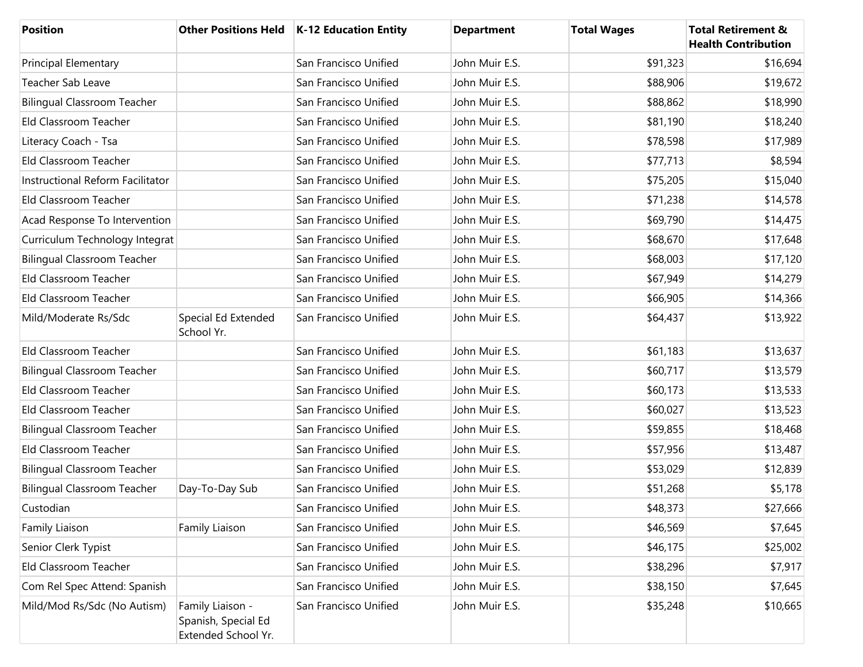| <b>Position</b>                    |                                                                | Other Positions Held   K-12 Education Entity | <b>Department</b> | <b>Total Wages</b> | <b>Total Retirement &amp;</b><br><b>Health Contribution</b> |
|------------------------------------|----------------------------------------------------------------|----------------------------------------------|-------------------|--------------------|-------------------------------------------------------------|
| <b>Principal Elementary</b>        |                                                                | San Francisco Unified                        | John Muir E.S.    | \$91,323           | \$16,694                                                    |
| Teacher Sab Leave                  |                                                                | San Francisco Unified                        | John Muir E.S.    | \$88,906           | \$19,672                                                    |
| <b>Bilingual Classroom Teacher</b> |                                                                | San Francisco Unified                        | John Muir E.S.    | \$88,862           | \$18,990                                                    |
| Eld Classroom Teacher              |                                                                | San Francisco Unified                        | John Muir E.S.    | \$81,190           | \$18,240                                                    |
| Literacy Coach - Tsa               |                                                                | San Francisco Unified                        | John Muir E.S.    | \$78,598           | \$17,989                                                    |
| Eld Classroom Teacher              |                                                                | San Francisco Unified                        | John Muir E.S.    | \$77,713           | \$8,594                                                     |
| Instructional Reform Facilitator   |                                                                | San Francisco Unified                        | John Muir E.S.    | \$75,205           | \$15,040                                                    |
| Eld Classroom Teacher              |                                                                | San Francisco Unified                        | John Muir E.S.    | \$71,238           | \$14,578                                                    |
| Acad Response To Intervention      |                                                                | San Francisco Unified                        | John Muir E.S.    | \$69,790           | \$14,475                                                    |
| Curriculum Technology Integrat     |                                                                | San Francisco Unified                        | John Muir E.S.    | \$68,670           | \$17,648                                                    |
| <b>Bilingual Classroom Teacher</b> |                                                                | San Francisco Unified                        | John Muir E.S.    | \$68,003           | \$17,120                                                    |
| Eld Classroom Teacher              |                                                                | San Francisco Unified                        | John Muir E.S.    | \$67,949           | \$14,279                                                    |
| Eld Classroom Teacher              |                                                                | San Francisco Unified                        | John Muir E.S.    | \$66,905           | \$14,366                                                    |
| Mild/Moderate Rs/Sdc               | Special Ed Extended<br>School Yr.                              | San Francisco Unified                        | John Muir E.S.    | \$64,437           | \$13,922                                                    |
| Eld Classroom Teacher              |                                                                | San Francisco Unified                        | John Muir E.S.    | \$61,183           | \$13,637                                                    |
| <b>Bilingual Classroom Teacher</b> |                                                                | San Francisco Unified                        | John Muir E.S.    | \$60,717           | \$13,579                                                    |
| Eld Classroom Teacher              |                                                                | San Francisco Unified                        | John Muir E.S.    | \$60,173           | \$13,533                                                    |
| Eld Classroom Teacher              |                                                                | San Francisco Unified                        | John Muir E.S.    | \$60,027           | \$13,523                                                    |
| <b>Bilingual Classroom Teacher</b> |                                                                | San Francisco Unified                        | John Muir E.S.    | \$59,855           | \$18,468                                                    |
| Eld Classroom Teacher              |                                                                | San Francisco Unified                        | John Muir E.S.    | \$57,956           | \$13,487                                                    |
| <b>Bilingual Classroom Teacher</b> |                                                                | San Francisco Unified                        | John Muir E.S.    | \$53,029           | \$12,839                                                    |
| <b>Bilingual Classroom Teacher</b> | Day-To-Day Sub                                                 | San Francisco Unified                        | John Muir E.S.    | \$51,268           | \$5,178                                                     |
| Custodian                          |                                                                | San Francisco Unified                        | John Muir E.S.    | \$48,373           | \$27,666                                                    |
| Family Liaison                     | Family Liaison                                                 | San Francisco Unified                        | John Muir E.S.    | \$46,569           | \$7,645                                                     |
| Senior Clerk Typist                |                                                                | San Francisco Unified                        | John Muir E.S.    | \$46,175           | \$25,002                                                    |
| Eld Classroom Teacher              |                                                                | San Francisco Unified                        | John Muir E.S.    | \$38,296           | \$7,917                                                     |
| Com Rel Spec Attend: Spanish       |                                                                | San Francisco Unified                        | John Muir E.S.    | \$38,150           | \$7,645                                                     |
| Mild/Mod Rs/Sdc (No Autism)        | Family Liaison -<br>Spanish, Special Ed<br>Extended School Yr. | San Francisco Unified                        | John Muir E.S.    | \$35,248           | \$10,665                                                    |